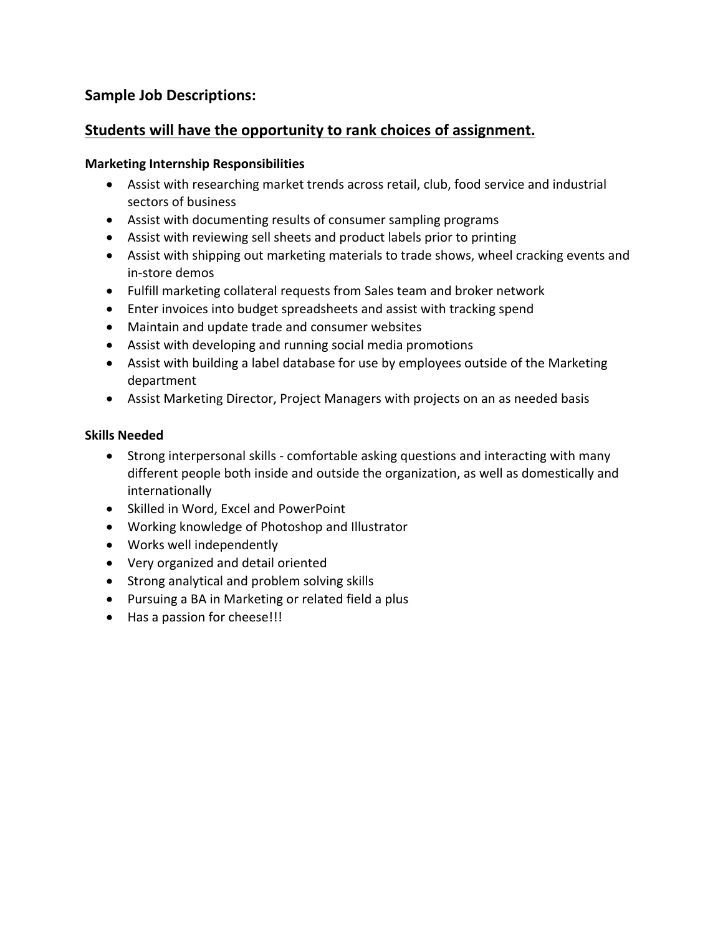# **Sample Job Descriptions:**

## **Students will have the opportunity to rank choices of assignment.**

### **Marketing Internship Responsibilities**

- Assist with researching market trends across retail, club, food service and industrial sectors of business
- Assist with documenting results of consumer sampling programs
- Assist with reviewing sell sheets and product labels prior to printing
- Assist with shipping out marketing materials to trade shows, wheel cracking events and in‐store demos
- Fulfill marketing collateral requests from Sales team and broker network
- Enter invoices into budget spreadsheets and assist with tracking spend
- Maintain and update trade and consumer websites
- Assist with developing and running social media promotions
- Assist with building a label database for use by employees outside of the Marketing department
- Assist Marketing Director, Project Managers with projects on an as needed basis

## **Skills Needed**

- Strong interpersonal skills comfortable asking questions and interacting with many different people both inside and outside the organization, as well as domestically and internationally
- Skilled in Word, Excel and PowerPoint
- Working knowledge of Photoshop and Illustrator
- Works well independently
- Very organized and detail oriented
- Strong analytical and problem solving skills
- Pursuing a BA in Marketing or related field a plus
- Has a passion for cheese!!!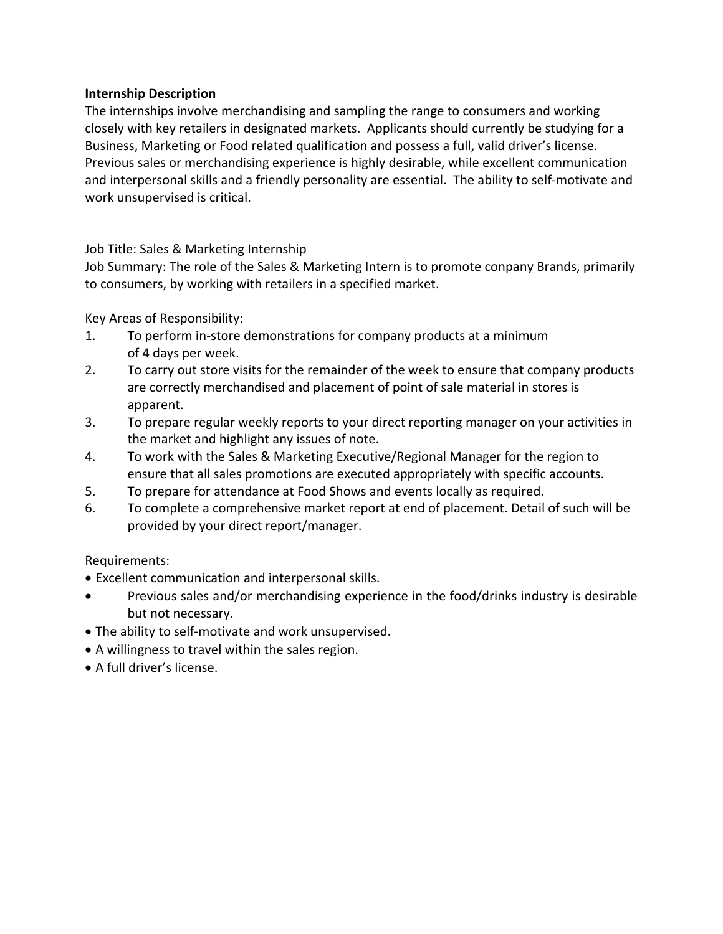#### **Internship Description**

The internships involve merchandising and sampling the range to consumers and working closely with key retailers in designated markets. Applicants should currently be studying for a Business, Marketing or Food related qualification and possess a full, valid driver's license. Previous sales or merchandising experience is highly desirable, while excellent communication and interpersonal skills and a friendly personality are essential. The ability to self-motivate and work unsupervised is critical.

Job Title: Sales & Marketing Internship

Job Summary: The role of the Sales & Marketing Intern is to promote conpany Brands, primarily to consumers, by working with retailers in a specified market.

Key Areas of Responsibility:

- 1. To perform in‐store demonstrations for company products at a minimum of 4 days per week.
- 2. To carry out store visits for the remainder of the week to ensure that company products are correctly merchandised and placement of point of sale material in stores is apparent.
- 3. To prepare regular weekly reports to your direct reporting manager on your activities in the market and highlight any issues of note.
- 4. To work with the Sales & Marketing Executive/Regional Manager for the region to ensure that all sales promotions are executed appropriately with specific accounts.
- 5. To prepare for attendance at Food Shows and events locally as required.
- 6. To complete a comprehensive market report at end of placement. Detail of such will be provided by your direct report/manager.

## Requirements:

- Excellent communication and interpersonal skills.
- Previous sales and/or merchandising experience in the food/drinks industry is desirable but not necessary.
- The ability to self‐motivate and work unsupervised.
- A willingness to travel within the sales region.
- A full driver's license.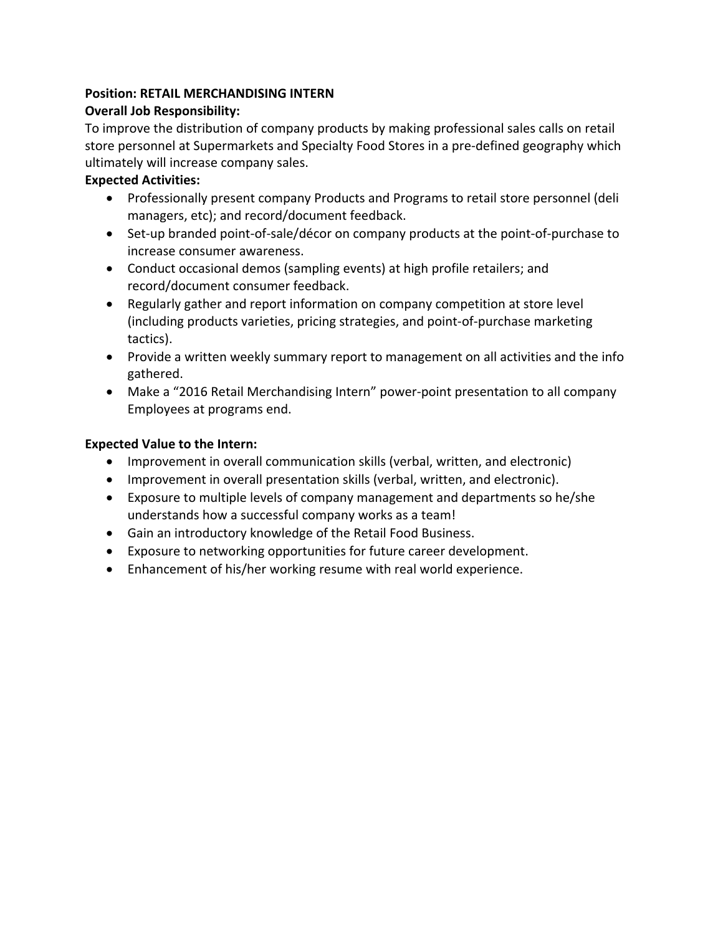## **Position: RETAIL MERCHANDISING INTERN**

#### **Overall Job Responsibility:**

To improve the distribution of company products by making professional sales calls on retail store personnel at Supermarkets and Specialty Food Stores in a pre‐defined geography which ultimately will increase company sales.

#### **Expected Activities:**

- Professionally present company Products and Programs to retail store personnel (deli managers, etc); and record/document feedback.
- Set-up branded point-of-sale/décor on company products at the point-of-purchase to increase consumer awareness.
- Conduct occasional demos (sampling events) at high profile retailers; and record/document consumer feedback.
- Regularly gather and report information on company competition at store level (including products varieties, pricing strategies, and point‐of‐purchase marketing tactics).
- Provide a written weekly summary report to management on all activities and the info gathered.
- Make a "2016 Retail Merchandising Intern" power-point presentation to all company Employees at programs end.

#### **Expected Value to the Intern:**

- Improvement in overall communication skills (verbal, written, and electronic)
- Improvement in overall presentation skills (verbal, written, and electronic).
- Exposure to multiple levels of company management and departments so he/she understands how a successful company works as a team!
- Gain an introductory knowledge of the Retail Food Business.
- Exposure to networking opportunities for future career development.
- Enhancement of his/her working resume with real world experience.